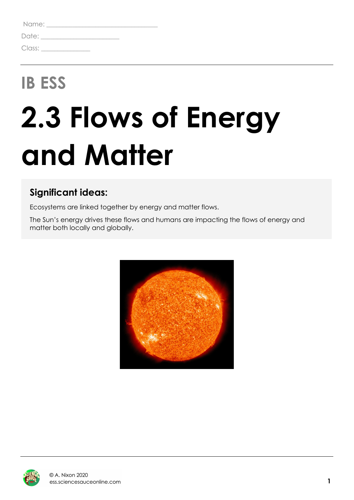| Name:  |  |  |  |
|--------|--|--|--|
| Date:  |  |  |  |
| Class: |  |  |  |

## **IB ESS**

# **2.3 Flows of Energy and Matter**

### **Significant ideas:**

Ecosystems are linked together by energy and matter flows.

The Sun's energy drives these flows and humans are impacting the flows of energy and matter both locally and globally.



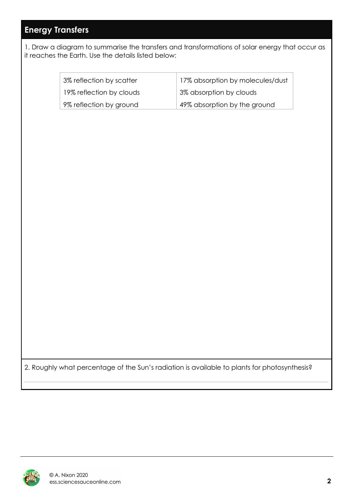#### **Energy Transfers**

1. Draw a diagram to summarise the transfers and transformations of solar energy that occur as it reaches the Earth. Use the details listed below:

> 3% reflection by scatter 19% reflection by clouds 9% reflection by ground

17% absorption by molecules/dust 3% absorption by clouds 49% absorption by the ground

2. Roughly what percentage of the Sun's radiation is available to plants for photosynthesis?

 $\_$  , and the contribution of the contribution of  $\mathcal{L}_\mathcal{A}$  , and the contribution of  $\mathcal{L}_\mathcal{A}$ 

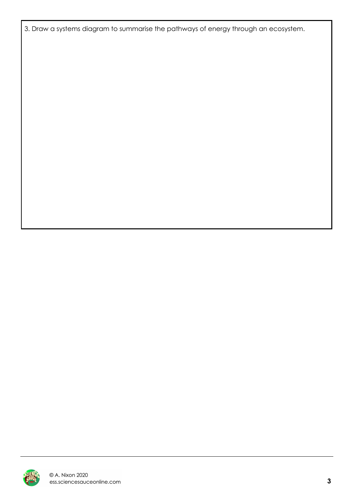3. Draw a systems diagram to summarise the pathways of energy through an ecosystem.

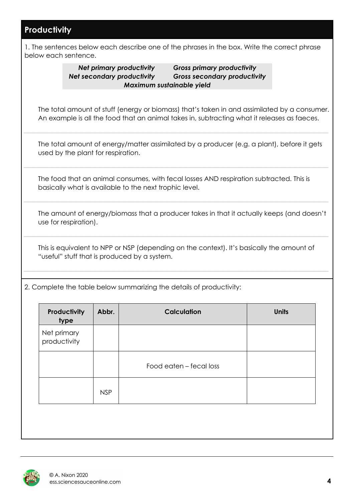#### **Productivity**

1. The sentences below each describe one of the phrases in the box. Write the correct phrase below each sentence.

*Net primary productivity Gross primary productivity Net secondary productivity Gross secondary productivity Maximum sustainable yield*

The total amount of stuff (energy or biomass) that's taken in and assimilated by a consumer. An example is all the food that an animal takes in, subtracting what it releases as faeces.

The total amount of energy/matter assimilated by a producer (e.g. a plant), before it gets used by the plant for respiration.

 $\_$  , and the contribution of the contribution of  $\mathcal{L}_\mathcal{A}$  , and the contribution of  $\mathcal{L}_\mathcal{A}$ 

The food that an animal consumes, with fecal losses AND respiration subtracted. This is basically what is available to the next trophic level.

 $\_$  , and the contribution of the contribution of  $\mathcal{L}_\mathcal{A}$  , and the contribution of  $\mathcal{L}_\mathcal{A}$ 

 $\_$  , and the contribution of the contribution of  $\mathcal{L}_\mathcal{A}$  , and the contribution of  $\mathcal{L}_\mathcal{A}$ 

The amount of energy/biomass that a producer takes in that it actually keeps (and doesn't use for respiration).

This is equivalent to NPP or NSP (depending on the context). It's basically the amount of "useful" stuff that is produced by a system.

 $\_$  , and the contribution of the contribution of  $\mathcal{L}_\mathcal{A}$  , and the contribution of  $\mathcal{L}_\mathcal{A}$ 

 $\_$  , and the contribution of the contribution of  $\mathcal{L}_\mathcal{A}$  , and the contribution of  $\mathcal{L}_\mathcal{A}$ 

2. Complete the table below summarizing the details of productivity:

| Productivity<br>type        | Abbr.      | <b>Calculation</b>      | <b>Units</b> |
|-----------------------------|------------|-------------------------|--------------|
| Net primary<br>productivity |            |                         |              |
|                             |            | Food eaten – fecal loss |              |
|                             | <b>NSP</b> |                         |              |

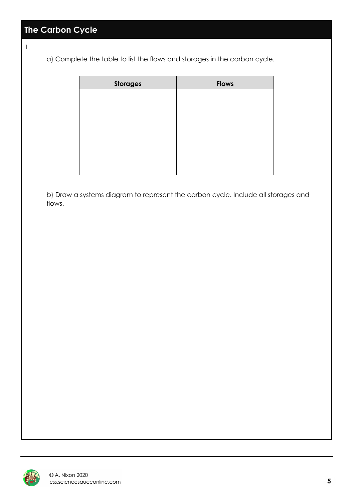1.

a) Complete the table to list the flows and storages in the carbon cycle.

| <b>Storages</b> | <b>Flows</b> |
|-----------------|--------------|
|                 |              |
|                 |              |
|                 |              |
|                 |              |
|                 |              |
|                 |              |
|                 |              |

b) Draw a systems diagram to represent the carbon cycle. Include all storages and flows.

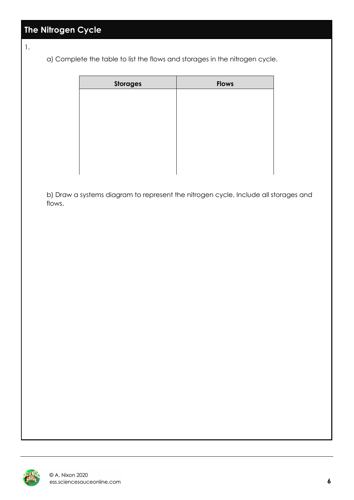#### **The Nitrogen Cycle**

1.

a) Complete the table to list the flows and storages in the nitrogen cycle.

| <b>Storages</b> | <b>Flows</b> |
|-----------------|--------------|
|                 |              |
|                 |              |
|                 |              |
|                 |              |
|                 |              |
|                 |              |
|                 |              |

b) Draw a systems diagram to represent the nitrogen cycle. Include all storages and flows.

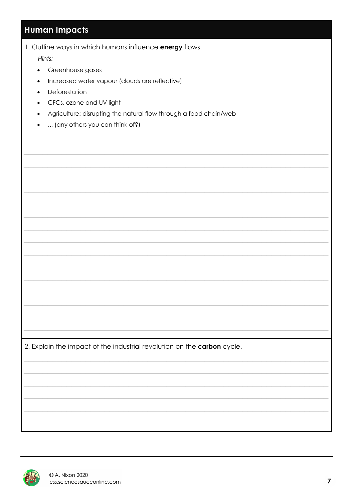#### **Human Impacts**

1. Outline ways in which humans influence energy flows.

Hints:

- Greenhouse gases
- Increased water vapour (clouds are reflective)
- Deforestation
- CFCs, ozone and UV light
- Agriculture: disrupting the natural flow through a food chain/web
- ... (any others you can think of?)

2. Explain the impact of the industrial revolution on the carbon cycle.